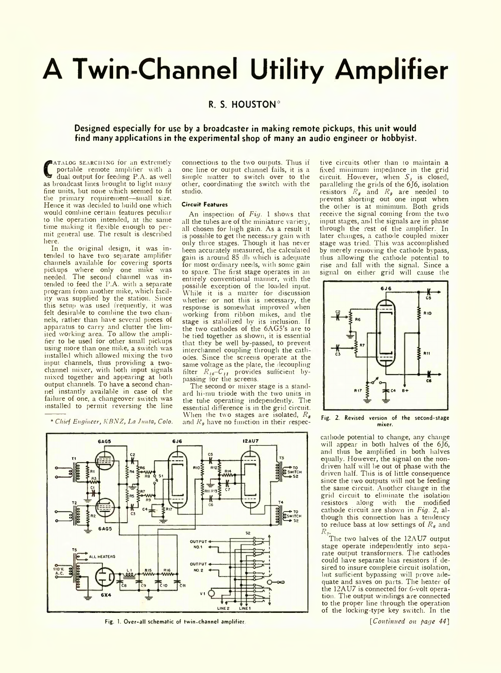# **A Twin-Channel Utility Amplifier**

## **R. S. HOUSTON\***

### **Designed especially for use by a broadcaster in making remote pickups, this unit would find many applications in the experimental shop of many an audio engineer or hobbyist.**

**C** as broadcast lines brought to light many **ATALOG SEARCHING for an extremely** portable remote amplifier with a dual output for feeding P.A. as well fine units, but none which seemed to fit the primary requirement—small size. Hence it was decided to build one which would combine certain features peculiar to the operation intended, at the same time making it flexible enough to permit general use. The result is described here.

In the original design, it was intended to have two separate amplifier channels available for covering sports pickups where only one mike was needed. The second channel was intended to feed the P.A. with a separate program from another mike, which facility was supplied by the station. Since this setup was used frequently, it was felt desirable to combine the two chan nels, rather than have several pieces of apparatus to carry and clutter the limited working area. To allow the amplifier to be used for other small pickups using more than one mike, a switch was installed which allowed mixing the two input channels, thus providing a twochannel mixer, with both input signals mixed together and appearing at both output channels. To have a second channel instantly available in case of the failure of one, a changeover switch was installed to permit reversing the line

\* *Chuf Engineer, KBNZ, La Junta, Colo.*

connections to the two outputs. Thus if one line or output channel fails, it is a simple matter to switch over to the other, coordinating the switch with the studio.

#### **Circuit- Features**

An inspection of *Fig.* 1 shows that all the tubes are of the miniature variety, all chosen for high gain. As a result it is possible to get the necessary gain with only three stages. Though it has never been accurately measured, the calculated gain is around 85 db which is adequate for most ordinary needs, with some gain to spare. The first stage operates in an entirely conventional manner, with the possible exception of the loaded input. While it is a matter for discussion whether or not this is necessary, the response is somewhat improved when working from ribbon mikes, and the stage is stabilized by its inclusion. If the two cathodes of the 6AG5's are to be tied together as shown, it is essential that they be well by-passed, to prevent interchannel coupling through the cath odes. Since the screens operate at the same voltage as the plate, the decoupling filter *R le-C 1I* provides sufficient bypassing for the screens.

The second or mixer stage is a standard hi-mu triode with the two units in the tube operating independently. The essential difference is in the grid circuit. When the two stages are isolated, *Rs* and *Kg* have no function in their respec-

tive circuits other than to maintain a fixed minimum impedance in the grid circuit. However, when  $S_i$  is closed, paralleling the grids of the 6J6, isolation resistors *Rs* and *R9* are needed to prevent shorting out one input when the other is at minimum. Both grids receive the signal coming from the two input stages, and the signals are in phase through the rest of the amplifier. In later changes, a cathode coupled mixer stage was tried. This was accomplished by merely removing the cathode bypass, thus allowing the cathode potential to rise and fall with the signal. Since a signal on either grid will cause the



Fig. 2. Revised version of the second-stage mixer.

cathode potential to change, any change will appear in both halves of the 6J6, and thus be amplified in both halves equally. However, the signal on the nondriven half will be out of phase with the driven half. This is of little consequence since the two outputs will not be feeding the same circuit. Another change in the grid circuit to eliminate the isolation resistors along with the modified cathode circuit are showm in *Fig.* 2, although this connection has a tendency to reduce bass at low settings of  $R_6$  and *R..*

The two halves of the 12AU7 output stage operate independently into separate output transformers. The cathodes could have separate bias resistors if desired to insure complete circuit isolation, but sufficient bypassing will prove ade quate and saves on parts. The heater of the 12AU7 is connected for 6-volt operation. The output windings are connected to the proper line through the operation of the locking-type key switch. In the

#### Fig. 1. Over-all schematic of twin-channel amplifier *fig. 1. Over-all schematic of twin-channel amplifier**fig. 1.* **Over-all schematic of twin-channel amplifier <b>***fig. 1.*